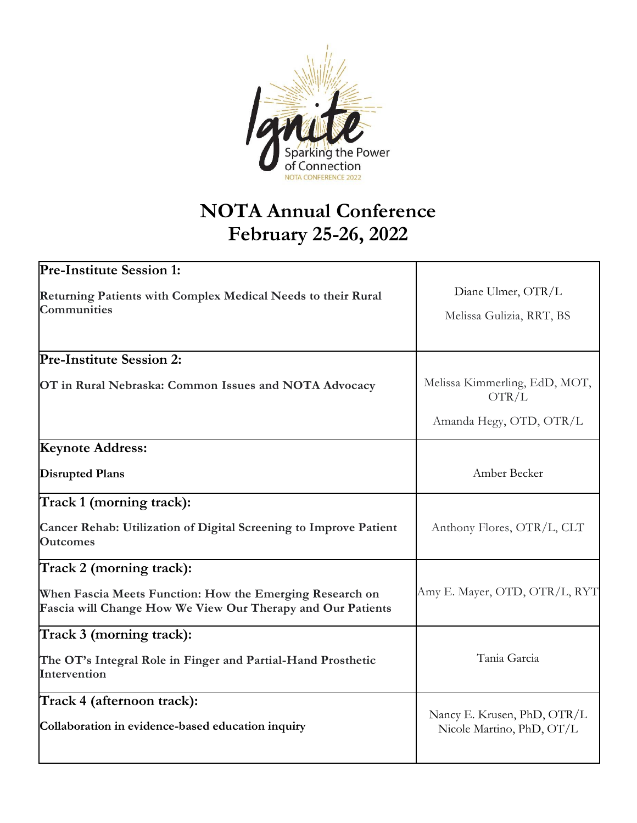

# **NOTA Annual Conference February 25-26, 2022**

| <b>Pre-Institute Session 1:</b>                                                                                         |                                                          |  |  |
|-------------------------------------------------------------------------------------------------------------------------|----------------------------------------------------------|--|--|
| Returning Patients with Complex Medical Needs to their Rural                                                            | Diane Ulmer, OTR/L<br>Melissa Gulizia, RRT, BS           |  |  |
| <b>Communities</b>                                                                                                      |                                                          |  |  |
|                                                                                                                         |                                                          |  |  |
| <b>Pre-Institute Session 2:</b>                                                                                         |                                                          |  |  |
| OT in Rural Nebraska: Common Issues and NOTA Advocacy                                                                   | Melissa Kimmerling, EdD, MOT,<br>OTR/L                   |  |  |
|                                                                                                                         | Amanda Hegy, OTD, OTR/L                                  |  |  |
| <b>Keynote Address:</b>                                                                                                 |                                                          |  |  |
| <b>Disrupted Plans</b>                                                                                                  | Amber Becker                                             |  |  |
| Track 1 (morning track):                                                                                                |                                                          |  |  |
| Cancer Rehab: Utilization of Digital Screening to Improve Patient<br><b>Outcomes</b>                                    | Anthony Flores, OTR/L, CLT                               |  |  |
| Track 2 (morning track):                                                                                                |                                                          |  |  |
| When Fascia Meets Function: How the Emerging Research on<br>Fascia will Change How We View Our Therapy and Our Patients | Amy E. Mayer, OTD, OTR/L, RYT                            |  |  |
| Track 3 (morning track):                                                                                                |                                                          |  |  |
| The OT's Integral Role in Finger and Partial-Hand Prosthetic<br>Intervention                                            | Tania Garcia                                             |  |  |
| Track 4 (afternoon track):                                                                                              |                                                          |  |  |
| Collaboration in evidence-based education inquiry                                                                       | Nancy E. Krusen, PhD, OTR/L<br>Nicole Martino, PhD, OT/L |  |  |
|                                                                                                                         |                                                          |  |  |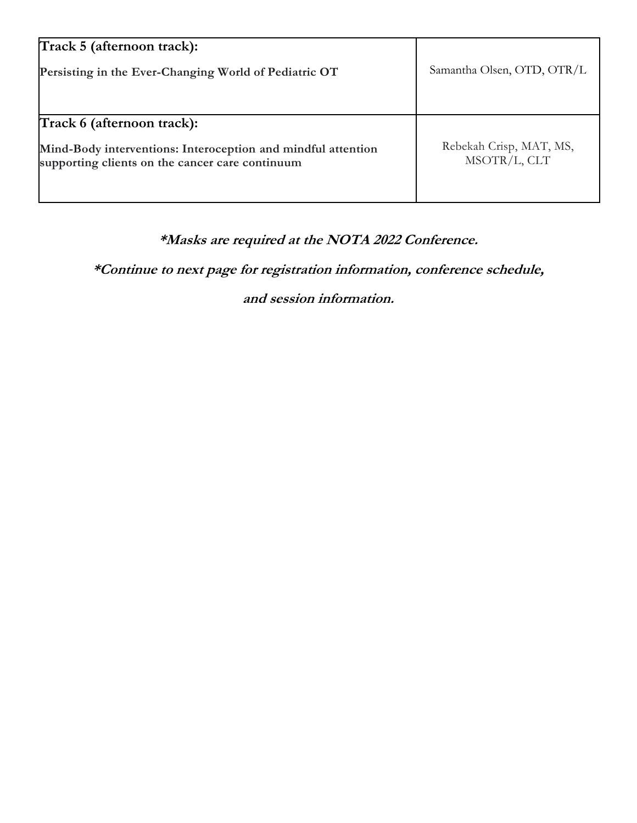| Track 5 (afternoon track):                                                                                      |                                         |  |  |
|-----------------------------------------------------------------------------------------------------------------|-----------------------------------------|--|--|
| Persisting in the Ever-Changing World of Pediatric OT                                                           | Samantha Olsen, OTD, OTR/L              |  |  |
|                                                                                                                 |                                         |  |  |
|                                                                                                                 |                                         |  |  |
| Track 6 (afternoon track):                                                                                      |                                         |  |  |
| Mind-Body interventions: Interoception and mindful attention<br>supporting clients on the cancer care continuum | Rebekah Crisp, MAT, MS,<br>MSOTR/L, CLT |  |  |
|                                                                                                                 |                                         |  |  |

# **\*Masks are required at the NOTA 2022 Conference.**

**\*Continue to next page for registration information, conference schedule,** 

**and session information.**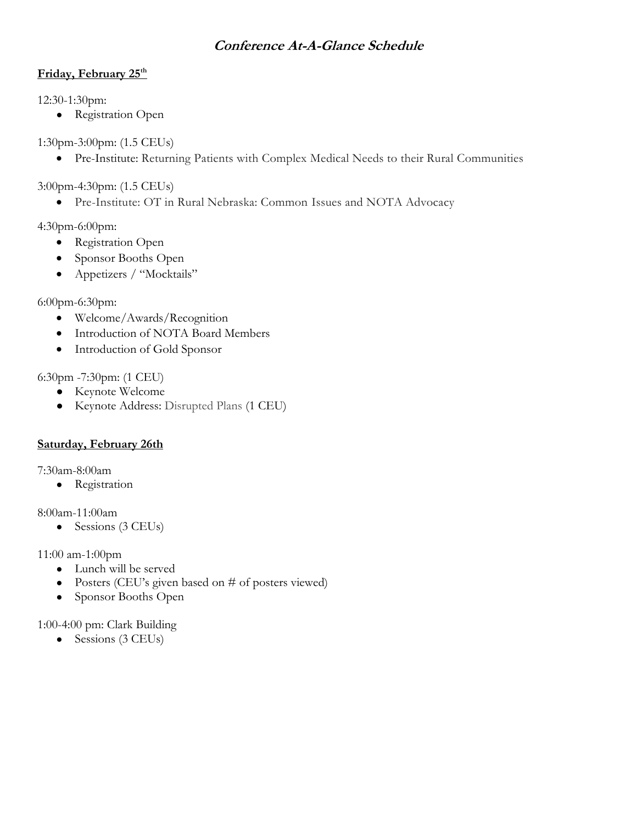## **Conference At-A-Glance Schedule**

## **Friday, February 25th**

12:30-1:30pm:

• Registration Open

1:30pm-3:00pm: (1.5 CEUs)

• Pre-Institute: Returning Patients with Complex Medical Needs to their Rural Communities

3:00pm-4:30pm: (1.5 CEUs)

• Pre-Institute: OT in Rural Nebraska: Common Issues and NOTA Advocacy

4:30pm-6:00pm:

- Registration Open
- Sponsor Booths Open
- Appetizers / "Mocktails"

6:00pm-6:30pm:

- Welcome/Awards/Recognition
- Introduction of NOTA Board Members
- Introduction of Gold Sponsor

6:30pm -7:30pm: (1 CEU)

- Keynote Welcome
- Keynote Address: Disrupted Plans (1 CEU)

## **Saturday, February 26th**

7:30am-8:00am

● Registration

8:00am-11:00am

• Sessions (3 CEUs)

11:00 am-1:00pm

- Lunch will be served
- Posters (CEU's given based on # of posters viewed)
- Sponsor Booths Open

1:00-4:00 pm: Clark Building

• Sessions (3 CEUs)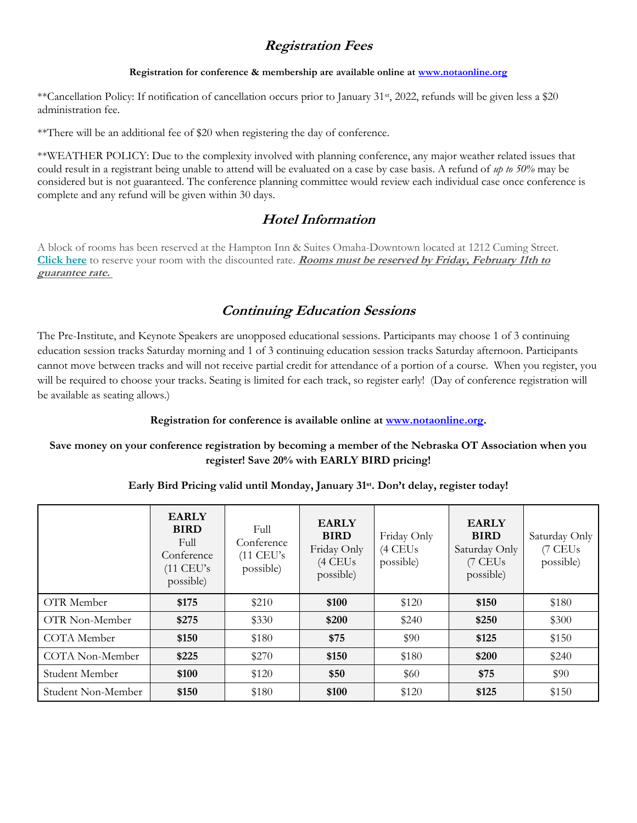## **Registration Fees**

#### **Registration for conference & membership are available online at [www.notaonline.org](http://www.google.com/url?q=http%3A%2F%2Fwww.notaonline.org&sa=D&sntz=1&usg=AFQjCNGC6XzpIdhXOyh1v6yY0a6zPFjuoA)**

\*\*Cancellation Policy: If notification of cancellation occurs prior to January 31st, 2022, refunds will be given less a \$20 administration fee.

\*\*There will be an additional fee of \$20 when registering the day of conference.

\*\*WEATHER POLICY: Due to the complexity involved with planning conference, any major weather related issues that could result in a registrant being unable to attend will be evaluated on a case by case basis. A refund of *up to 50%* may be considered but is not guaranteed. The conference planning committee would review each individual case once conference is complete and any refund will be given within 30 days.

## **Hotel Information**

A block of rooms has been reserved at the Hampton Inn & Suites Omaha-Downtown located at 1212 Cuming Street. **[Click](https://www.hilton.com/en/book/reservation/deeplink/?ctyhocn=OMADNHX&groupCode=CHHOTA&arrivaldate=2022-02-25&departuredate=2022-02-26&cid=OM,WW,HILTONLINK,EN,DirectLink&fromId=HILTONLINKDIRECT) here** to reserve your room with the discounted rate. **Rooms must be reserved by Friday, February 11th to guarantee rate.**

## **Continuing Education Sessions**

The Pre-Institute, and Keynote Speakers are unopposed educational sessions. Participants may choose 1 of 3 continuing education session tracks Saturday morning and 1 of 3 continuing education session tracks Saturday afternoon. Participants cannot move between tracks and will not receive partial credit for attendance of a portion of a course. When you register, you will be required to choose your tracks. Seating is limited for each track, so register early! (Day of conference registration will be available as seating allows.)

**Registration for conference is available online a[t www.notaonline.org.](http://www.google.com/url?q=http%3A%2F%2Fwww.notaonline.org&sa=D&sntz=1&usg=AFQjCNGC6XzpIdhXOyh1v6yY0a6zPFjuoA)**

#### **Save money on your conference registration by becoming a member of the Nebraska OT Association when you register! Save 20% with EARLY BIRD pricing!**

#### **Early Bird Pricing valid until Monday, January 31st. Don't delay, register today!**

|                    | <b>EARLY</b><br><b>BIRD</b><br>Full<br>Conference<br>$(11$ CEU's<br>possible) | Full<br>Conference<br>$(11$ CEU's<br>possible) | <b>EARLY</b><br><b>BIRD</b><br>Friday Only<br>$(4$ CEUs<br>possible) | Friday Only<br>$(4$ CEUs<br>possible) | <b>EARLY</b><br><b>BIRD</b><br>Saturday Only<br>(7 CEUs<br>possible) | Saturday Only<br>(7 CEUs<br>possible) |
|--------------------|-------------------------------------------------------------------------------|------------------------------------------------|----------------------------------------------------------------------|---------------------------------------|----------------------------------------------------------------------|---------------------------------------|
| OTR Member         | \$175                                                                         | \$210                                          | \$100                                                                | \$120                                 | \$150                                                                | \$180                                 |
| OTR Non-Member     | \$275                                                                         | \$330                                          | \$200                                                                | \$240                                 | \$250                                                                | \$300                                 |
| COTA Member        | \$150                                                                         | \$180                                          | \$75                                                                 | \$90                                  | \$125                                                                | \$150                                 |
| COTA Non-Member    | \$225                                                                         | \$270                                          | \$150                                                                | \$180                                 | \$200                                                                | \$240                                 |
| Student Member     | \$100                                                                         | \$120                                          | \$50                                                                 | \$60                                  | \$75                                                                 | \$90                                  |
| Student Non-Member | \$150                                                                         | \$180                                          | \$100                                                                | \$120                                 | \$125                                                                | \$150                                 |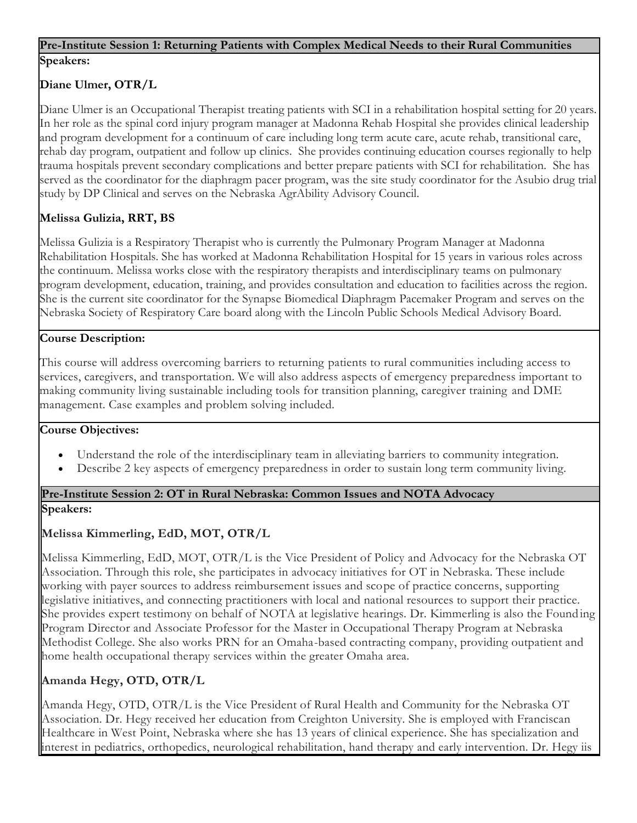## **Pre-Institute Session 1: Returning Patients with Complex Medical Needs to their Rural Communities Speakers:**

## **Diane Ulmer, OTR/L**

Diane Ulmer is an Occupational Therapist treating patients with SCI in a rehabilitation hospital setting for 20 years. In her role as the spinal cord injury program manager at Madonna Rehab Hospital she provides clinical leadership and program development for a continuum of care including long term acute care, acute rehab, transitional care, rehab day program, outpatient and follow up clinics. She provides continuing education courses regionally to help trauma hospitals prevent secondary complications and better prepare patients with SCI for rehabilitation. She has served as the coordinator for the diaphragm pacer program, was the site study coordinator for the Asubio drug trial study by DP Clinical and serves on the Nebraska AgrAbility Advisory Council.

## **Melissa Gulizia, RRT, BS**

Melissa Gulizia is a Respiratory Therapist who is currently the Pulmonary Program Manager at Madonna Rehabilitation Hospitals. She has worked at Madonna Rehabilitation Hospital for 15 years in various roles across the continuum. Melissa works close with the respiratory therapists and interdisciplinary teams on pulmonary program development, education, training, and provides consultation and education to facilities across the region. She is the current site coordinator for the Synapse Biomedical Diaphragm Pacemaker Program and serves on the Nebraska Society of Respiratory Care board along with the Lincoln Public Schools Medical Advisory Board.

#### **Course Description:**

This course will address overcoming barriers to returning patients to rural communities including access to services, caregivers, and transportation. We will also address aspects of emergency preparedness important to making community living sustainable including tools for transition planning, caregiver training and DME management. Case examples and problem solving included.

#### **Course Objectives:**

- Understand the role of the interdisciplinary team in alleviating barriers to community integration.
- Describe 2 key aspects of emergency preparedness in order to sustain long term community living.

### **Pre-Institute Session 2: OT in Rural Nebraska: Common Issues and NOTA Advocacy**

#### **Speakers:**

## **Melissa Kimmerling, EdD, MOT, OTR/L**

Melissa Kimmerling, EdD, MOT, OTR/L is the Vice President of Policy and Advocacy for the Nebraska OT Association. Through this role, she participates in advocacy initiatives for OT in Nebraska. These include working with payer sources to address reimbursement issues and scope of practice concerns, supporting legislative initiatives, and connecting practitioners with local and national resources to support their practice. She provides expert testimony on behalf of NOTA at legislative hearings. Dr. Kimmerling is also the Founding Program Director and Associate Professor for the Master in Occupational Therapy Program at Nebraska Methodist College. She also works PRN for an Omaha-based contracting company, providing outpatient and home health occupational therapy services within the greater Omaha area.

## **Amanda Hegy, OTD, OTR/L**

Amanda Hegy, OTD, OTR/L is the Vice President of Rural Health and Community for the Nebraska OT Association. Dr. Hegy received her education from Creighton University. She is employed with Franciscan Healthcare in West Point, Nebraska where she has 13 years of clinical experience. She has specialization and interest in pediatrics, orthopedics, neurological rehabilitation, hand therapy and early intervention. Dr. Hegy iis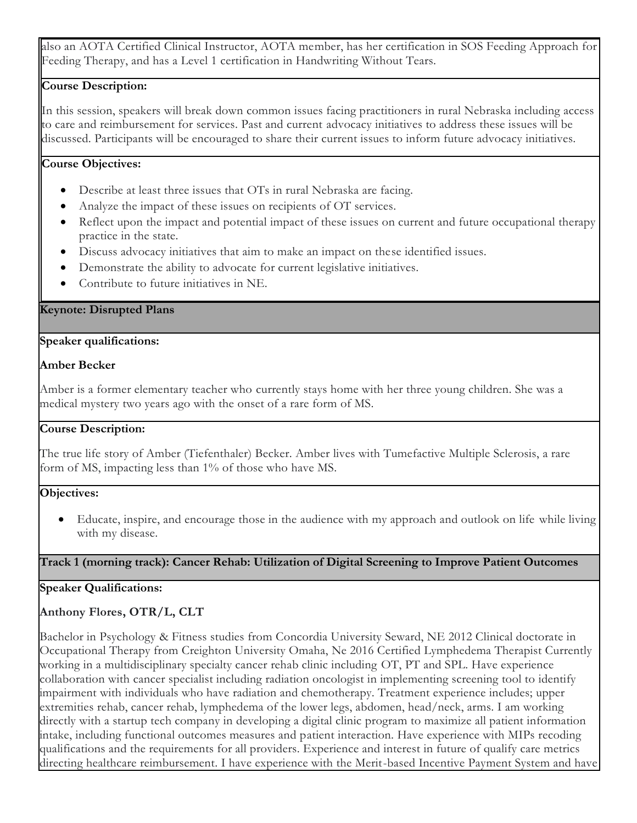also an AOTA Certified Clinical Instructor, AOTA member, has her certification in SOS Feeding Approach for Feeding Therapy, and has a Level 1 certification in Handwriting Without Tears.

### **Course Description:**

In this session, speakers will break down common issues facing practitioners in rural Nebraska including access to care and reimbursement for services. Past and current advocacy initiatives to address these issues will be discussed. Participants will be encouraged to share their current issues to inform future advocacy initiatives.

#### **Course Objectives:**

- Describe at least three issues that OTs in rural Nebraska are facing.
- Analyze the impact of these issues on recipients of OT services.
- Reflect upon the impact and potential impact of these issues on current and future occupational therapy practice in the state.
- Discuss advocacy initiatives that aim to make an impact on these identified issues.
- Demonstrate the ability to advocate for current legislative initiatives.
- Contribute to future initiatives in NE.

#### **Keynote: Disrupted Plans**

#### **Speaker qualifications:**

#### **Amber Becker**

Amber is a former elementary teacher who currently stays home with her three young children. She was a medical mystery two years ago with the onset of a rare form of MS.

#### **Course Description:**

The true life story of Amber (Tiefenthaler) Becker. Amber lives with Tumefactive Multiple Sclerosis, a rare form of MS, impacting less than 1% of those who have MS.

#### **Objectives:**

• Educate, inspire, and encourage those in the audience with my approach and outlook on life while living with my disease.

#### **Track 1 (morning track): Cancer Rehab: Utilization of Digital Screening to Improve Patient Outcomes**

#### **Speaker Qualifications:**

### **Anthony Flores, OTR/L, CLT**

Bachelor in Psychology & Fitness studies from Concordia University Seward, NE 2012 Clinical doctorate in Occupational Therapy from Creighton University Omaha, Ne 2016 Certified Lymphedema Therapist Currently working in a multidisciplinary specialty cancer rehab clinic including OT, PT and SPL. Have experience collaboration with cancer specialist including radiation oncologist in implementing screening tool to identify impairment with individuals who have radiation and chemotherapy. Treatment experience includes; upper extremities rehab, cancer rehab, lymphedema of the lower legs, abdomen, head/neck, arms. I am working directly with a startup tech company in developing a digital clinic program to maximize all patient information intake, including functional outcomes measures and patient interaction. Have experience with MIPs recoding qualifications and the requirements for all providers. Experience and interest in future of qualify care metrics directing healthcare reimbursement. I have experience with the Merit-based Incentive Payment System and have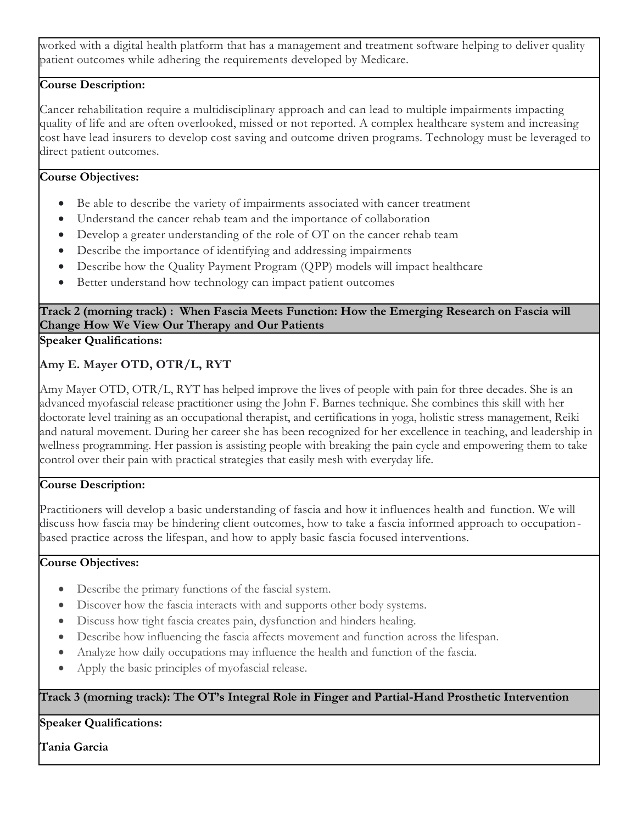worked with a digital health platform that has a management and treatment software helping to deliver quality patient outcomes while adhering the requirements developed by Medicare.

## **Course Description:**

Cancer rehabilitation require a multidisciplinary approach and can lead to multiple impairments impacting quality of life and are often overlooked, missed or not reported. A complex healthcare system and increasing cost have lead insurers to develop cost saving and outcome driven programs. Technology must be leveraged to direct patient outcomes.

## **Course Objectives:**

- Be able to describe the variety of impairments associated with cancer treatment
- Understand the cancer rehab team and the importance of collaboration
- Develop a greater understanding of the role of OT on the cancer rehab team
- Describe the importance of identifying and addressing impairments
- Describe how the Quality Payment Program (QPP) models will impact healthcare
- Better understand how technology can impact patient outcomes

## **Track 2 (morning track) : When Fascia Meets Function: How the Emerging Research on Fascia will Change How We View Our Therapy and Our Patients**

**Speaker Qualifications:**

## **Amy E. Mayer OTD, OTR/L, RYT**

Amy Mayer OTD, OTR/L, RYT has helped improve the lives of people with pain for three decades. She is an advanced myofascial release practitioner using the John F. Barnes technique. She combines this skill with her doctorate level training as an occupational therapist, and certifications in yoga, holistic stress management, Reiki and natural movement. During her career she has been recognized for her excellence in teaching, and leadership in wellness programming. Her passion is assisting people with breaking the pain cycle and empowering them to take control over their pain with practical strategies that easily mesh with everyday life.

### **Course Description:**

Practitioners will develop a basic understanding of fascia and how it influences health and function. We will discuss how fascia may be hindering client outcomes, how to take a fascia informed approach to occupation based practice across the lifespan, and how to apply basic fascia focused interventions.

### **Course Objectives:**

- Describe the primary functions of the fascial system.
- Discover how the fascia interacts with and supports other body systems.
- Discuss how tight fascia creates pain, dysfunction and hinders healing.
- Describe how influencing the fascia affects movement and function across the lifespan.
- Analyze how daily occupations may influence the health and function of the fascia.
- Apply the basic principles of myofascial release.

## **Track 3 (morning track): The OT's Integral Role in Finger and Partial-Hand Prosthetic Intervention**

## **Speaker Qualifications:**

**Tania Garcia**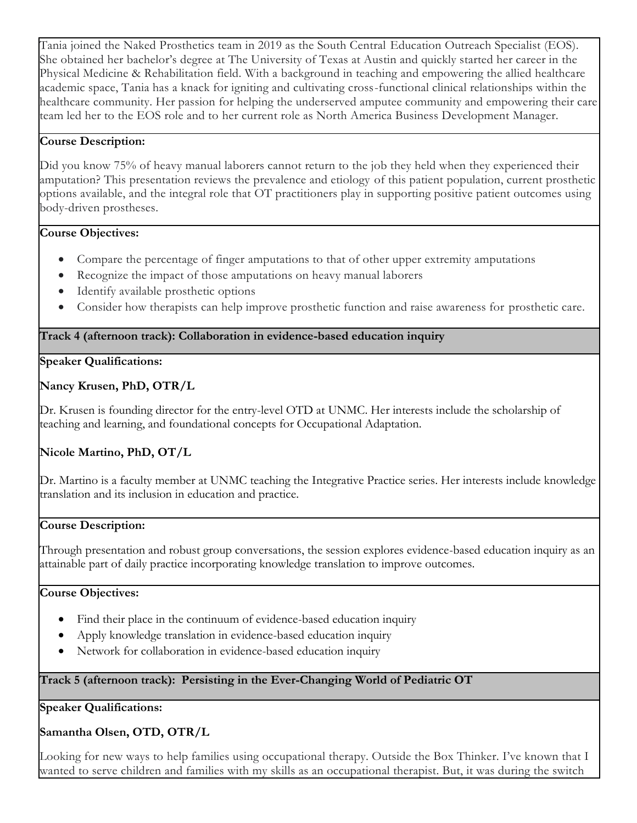Tania joined the Naked Prosthetics team in 2019 as the South Central Education Outreach Specialist (EOS). She obtained her bachelor's degree at The University of Texas at Austin and quickly started her career in the Physical Medicine & Rehabilitation field. With a background in teaching and empowering the allied healthcare academic space, Tania has a knack for igniting and cultivating cross-functional clinical relationships within the healthcare community. Her passion for helping the underserved amputee community and empowering their care team led her to the EOS role and to her current role as North America Business Development Manager.

#### **Course Description:**

Did you know 75% of heavy manual laborers cannot return to the job they held when they experienced their amputation? This presentation reviews the prevalence and etiology of this patient population, current prosthetic options available, and the integral role that OT practitioners play in supporting positive patient outcomes using body-driven prostheses.

#### **Course Objectives:**

- Compare the percentage of finger amputations to that of other upper extremity amputations
- Recognize the impact of those amputations on heavy manual laborers
- Identify available prosthetic options
- Consider how therapists can help improve prosthetic function and raise awareness for prosthetic care.

### **Track 4 (afternoon track): Collaboration in evidence-based education inquiry**

### **Speaker Qualifications:**

### **Nancy Krusen, PhD, OTR/L**

Dr. Krusen is founding director for the entry-level OTD at UNMC. Her interests include the scholarship of teaching and learning, and foundational concepts for Occupational Adaptation.

### **Nicole Martino, PhD, OT/L**

Dr. Martino is a faculty member at UNMC teaching the Integrative Practice series. Her interests include knowledge translation and its inclusion in education and practice.

### **Course Description:**

Through presentation and robust group conversations, the session explores evidence-based education inquiry as an attainable part of daily practice incorporating knowledge translation to improve outcomes.

### **Course Objectives:**

- Find their place in the continuum of evidence-based education inquiry
- Apply knowledge translation in evidence-based education inquiry
- Network for collaboration in evidence-based education inquiry

### **Track 5 (afternoon track): Persisting in the Ever-Changing World of Pediatric OT**

**Speaker Qualifications:**

### **Samantha Olsen, OTD, OTR/L**

Looking for new ways to help families using occupational therapy. Outside the Box Thinker. I've known that I wanted to serve children and families with my skills as an occupational therapist. But, it was during the switch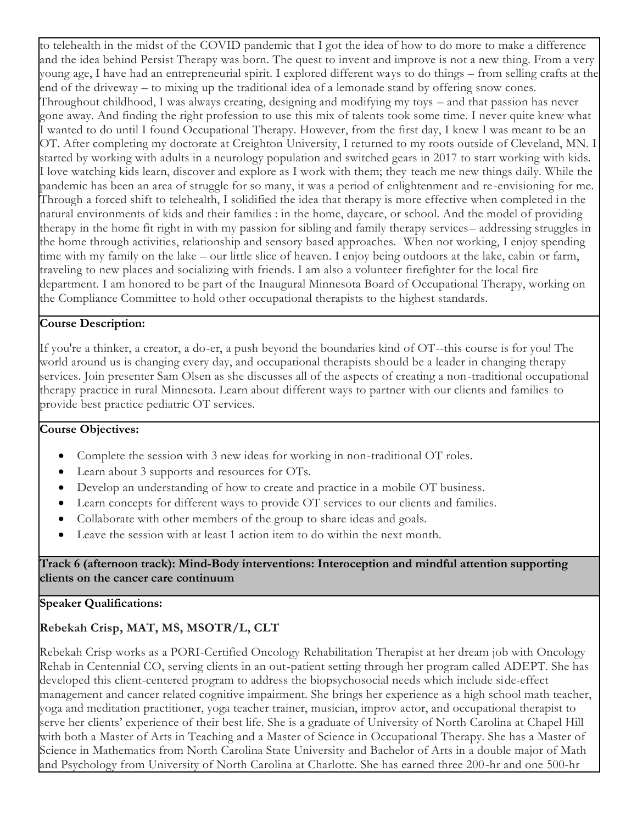to telehealth in the midst of the COVID pandemic that I got the idea of how to do more to make a difference and the idea behind Persist Therapy was born. The quest to invent and improve is not a new thing. From a very young age, I have had an entrepreneurial spirit. I explored different ways to do things – from selling crafts at the end of the driveway – to mixing up the traditional idea of a lemonade stand by offering snow cones. Throughout childhood, I was always creating, designing and modifying my toys – and that passion has never gone away. And finding the right profession to use this mix of talents took some time. I never quite knew what I wanted to do until I found Occupational Therapy. However, from the first day, I knew I was meant to be an OT. After completing my doctorate at Creighton University, I returned to my roots outside of Cleveland, MN. I started by working with adults in a neurology population and switched gears in 2017 to start working with kids. I love watching kids learn, discover and explore as I work with them; they teach me new things daily. While the pandemic has been an area of struggle for so many, it was a period of enlightenment and re -envisioning for me. Through a forced shift to telehealth, I solidified the idea that therapy is more effective when completed in the natural environments of kids and their families : in the home, daycare, or school. And the model of providing therapy in the home fit right in with my passion for sibling and family therapy services– addressing struggles in the home through activities, relationship and sensory based approaches. When not working, I enjoy spending time with my family on the lake – our little slice of heaven. I enjoy being outdoors at the lake, cabin or farm, traveling to new places and socializing with friends. I am also a volunteer firefighter for the local fire department. I am honored to be part of the Inaugural Minnesota Board of Occupational Therapy, working on the Compliance Committee to hold other occupational therapists to the highest standards.

### **Course Description:**

If you're a thinker, a creator, a do-er, a push beyond the boundaries kind of OT--this course is for you! The world around us is changing every day, and occupational therapists should be a leader in changing therapy services. Join presenter Sam Olsen as she discusses all of the aspects of creating a non-traditional occupational therapy practice in rural Minnesota. Learn about different ways to partner with our clients and families to provide best practice pediatric OT services.

### **Course Objectives:**

- Complete the session with 3 new ideas for working in non-traditional OT roles.
- Learn about 3 supports and resources for OTs.
- Develop an understanding of how to create and practice in a mobile OT business.
- Learn concepts for different ways to provide OT services to our clients and families.
- Collaborate with other members of the group to share ideas and goals.
- Leave the session with at least 1 action item to do within the next month.

**Track 6 (afternoon track): Mind-Body interventions: Interoception and mindful attention supporting clients on the cancer care continuum**

#### **Speaker Qualifications:**

## **Rebekah Crisp, MAT, MS, MSOTR/L, CLT**

Rebekah Crisp works as a PORI-Certified Oncology Rehabilitation Therapist at her dream job with Oncology Rehab in Centennial CO, serving clients in an out-patient setting through her program called ADEPT. She has developed this client-centered program to address the biopsychosocial needs which include side-effect management and cancer related cognitive impairment. She brings her experience as a high school math teacher, yoga and meditation practitioner, yoga teacher trainer, musician, improv actor, and occupational therapist to serve her clients' experience of their best life. She is a graduate of University of North Carolina at Chapel Hill with both a Master of Arts in Teaching and a Master of Science in Occupational Therapy. She has a Master of Science in Mathematics from North Carolina State University and Bachelor of Arts in a double major of Math and Psychology from University of North Carolina at Charlotte. She has earned three 200-hr and one 500-hr